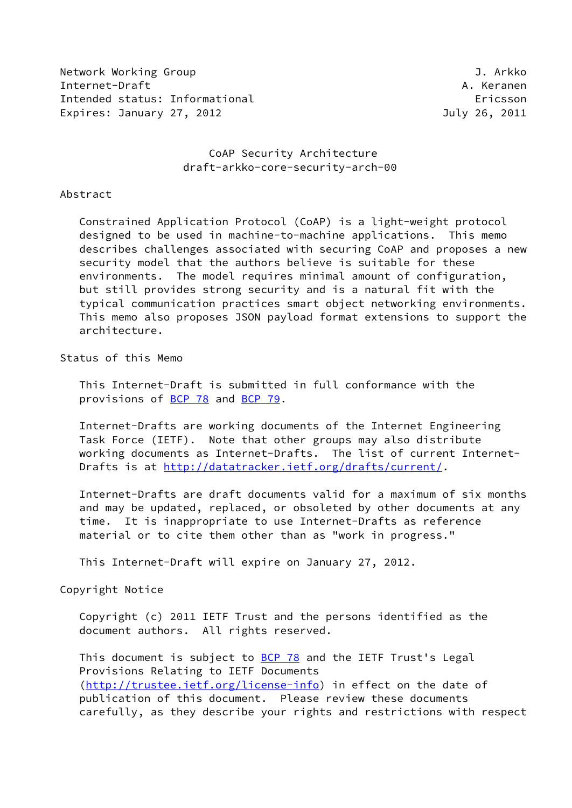Network Working Group J. Arkko J. Arkko J. Arkko J. Arkko J. Arkko J. Arkko J. Arkko J. Arkko J. Arkko J. Arkko Internet-Draft A. Keranen Intended status: Informational example of the example of the example of the example of the example of the example of the example of the example of the example of the example of the example of the example of the example of Expires: January 27, 2012 July 26, 2011

## CoAP Security Architecture draft-arkko-core-security-arch-00

#### Abstract

 Constrained Application Protocol (CoAP) is a light-weight protocol designed to be used in machine-to-machine applications. This memo describes challenges associated with securing CoAP and proposes a new security model that the authors believe is suitable for these environments. The model requires minimal amount of configuration, but still provides strong security and is a natural fit with the typical communication practices smart object networking environments. This memo also proposes JSON payload format extensions to support the architecture.

# Status of this Memo

 This Internet-Draft is submitted in full conformance with the provisions of [BCP 78](https://datatracker.ietf.org/doc/pdf/bcp78) and [BCP 79](https://datatracker.ietf.org/doc/pdf/bcp79).

 Internet-Drafts are working documents of the Internet Engineering Task Force (IETF). Note that other groups may also distribute working documents as Internet-Drafts. The list of current Internet- Drafts is at<http://datatracker.ietf.org/drafts/current/>.

 Internet-Drafts are draft documents valid for a maximum of six months and may be updated, replaced, or obsoleted by other documents at any time. It is inappropriate to use Internet-Drafts as reference material or to cite them other than as "work in progress."

This Internet-Draft will expire on January 27, 2012.

#### Copyright Notice

 Copyright (c) 2011 IETF Trust and the persons identified as the document authors. All rights reserved.

This document is subject to **[BCP 78](https://datatracker.ietf.org/doc/pdf/bcp78)** and the IETF Trust's Legal Provisions Relating to IETF Documents [\(http://trustee.ietf.org/license-info](http://trustee.ietf.org/license-info)) in effect on the date of publication of this document. Please review these documents carefully, as they describe your rights and restrictions with respect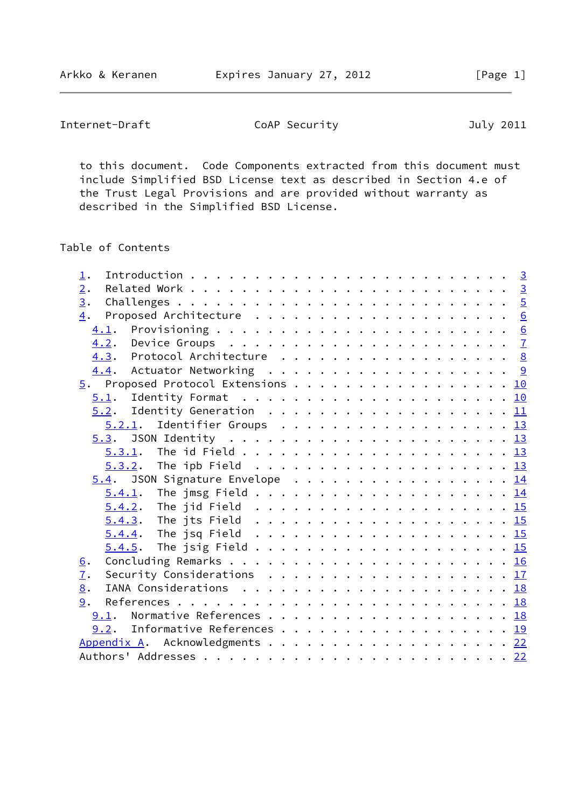Internet-Draft CoAP Security Coap Security July 2011

 to this document. Code Components extracted from this document must include Simplified BSD License text as described in Section 4.e of the Trust Legal Provisions and are provided without warranty as described in the Simplified BSD License.

Table of Contents

| 1.                                                                                            |  |
|-----------------------------------------------------------------------------------------------|--|
| 2.                                                                                            |  |
| 3.                                                                                            |  |
| 4.                                                                                            |  |
|                                                                                               |  |
|                                                                                               |  |
| 4.3. Protocol Architecture 8                                                                  |  |
| 4.4. Actuator Networking 9                                                                    |  |
| 5. Proposed Protocol Extensions 10                                                            |  |
| 5.1.                                                                                          |  |
|                                                                                               |  |
| $5.2.1$ . Identifier Groups 13                                                                |  |
|                                                                                               |  |
|                                                                                               |  |
|                                                                                               |  |
| 5.4. JSON Signature Envelope 14                                                               |  |
|                                                                                               |  |
|                                                                                               |  |
|                                                                                               |  |
|                                                                                               |  |
|                                                                                               |  |
| 6.                                                                                            |  |
| Security Considerations $\ldots \ldots \ldots \ldots \ldots \ldots \ldots \frac{17}{2}$<br>7. |  |
| 8.                                                                                            |  |
| 9.                                                                                            |  |
| 9.1. Normative References 18                                                                  |  |
| 9.2. Informative References 19                                                                |  |
| Appendix A. Acknowledgments 22                                                                |  |
|                                                                                               |  |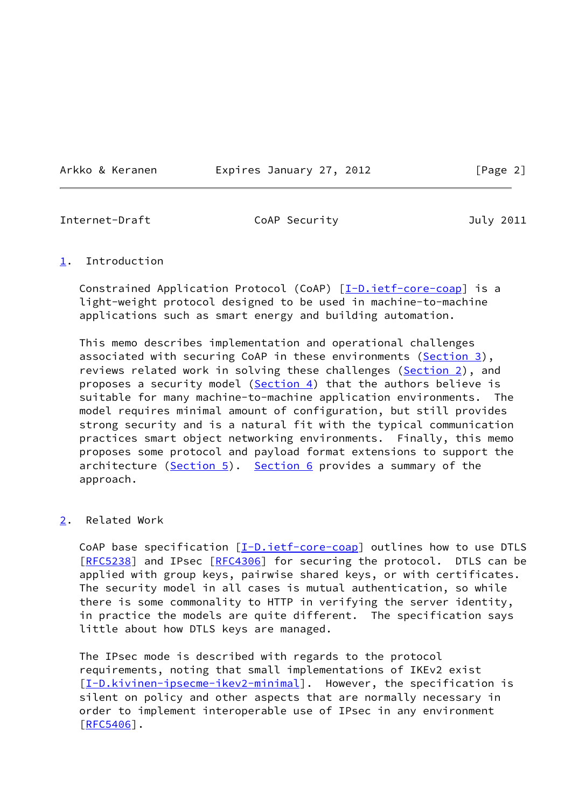Arkko & Keranen Expires January 27, 2012 [Page 2]

<span id="page-2-1"></span>

Internet-Draft CoAP Security July 2011

### <span id="page-2-0"></span>[1](#page-2-0). Introduction

Constrained Application Protocol (CoAP) [\[I-D.ietf-core-coap\]](#page-20-1) is a light-weight protocol designed to be used in machine-to-machine applications such as smart energy and building automation.

 This memo describes implementation and operational challenges associated with securing CoAP in these environments [\(Section 3](#page-4-0)), reviews related work in solving these challenges [\(Section 2\)](#page-2-2), and proposes a security model ([Section 4\)](#page-6-0) that the authors believe is suitable for many machine-to-machine application environments. The model requires minimal amount of configuration, but still provides strong security and is a natural fit with the typical communication practices smart object networking environments. Finally, this memo proposes some protocol and payload format extensions to support the architecture  $(Section 5)$ . [Section 6](#page-17-0) provides a summary of the approach.

# <span id="page-2-2"></span>[2](#page-2-2). Related Work

CoAP base specification  $[I-D.iett-core-coap]$  outlines how to use DTLS [\[RFC5238](https://datatracker.ietf.org/doc/pdf/rfc5238)] and IPsec [\[RFC4306](https://datatracker.ietf.org/doc/pdf/rfc4306)] for securing the protocol. DTLS can be applied with group keys, pairwise shared keys, or with certificates. The security model in all cases is mutual authentication, so while there is some commonality to HTTP in verifying the server identity, in practice the models are quite different. The specification says little about how DTLS keys are managed.

 The IPsec mode is described with regards to the protocol requirements, noting that small implementations of IKEv2 exist [\[I-D.kivinen-ipsecme-ikev2-minimal](#page-23-1)]. However, the specification is silent on policy and other aspects that are normally necessary in order to implement interoperable use of IPsec in any environment [\[RFC5406](https://datatracker.ietf.org/doc/pdf/rfc5406)].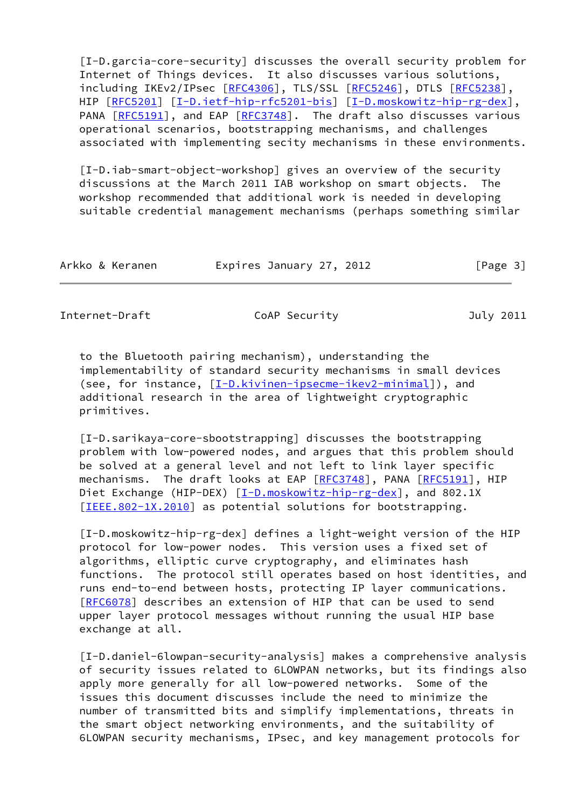[I-D.garcia-core-security] discusses the overall security problem for Internet of Things devices. It also discusses various solutions, including IKEv2/IPsec [[RFC4306](https://datatracker.ietf.org/doc/pdf/rfc4306)], TLS/SSL [\[RFC5246](https://datatracker.ietf.org/doc/pdf/rfc5246)], DTLS [\[RFC5238](https://datatracker.ietf.org/doc/pdf/rfc5238)], HIP  $[REC5201]$   $[I-D.iett-hip-rfc5201-bis]$   $[I-D.moskowitz-hip-rg-dex]$  $[I-D.moskowitz-hip-rg-dex]$ , PANA [\[RFC5191](https://datatracker.ietf.org/doc/pdf/rfc5191)], and EAP [\[RFC3748](https://datatracker.ietf.org/doc/pdf/rfc3748)]. The draft also discusses various operational scenarios, bootstrapping mechanisms, and challenges associated with implementing secity mechanisms in these environments.

 [I-D.iab-smart-object-workshop] gives an overview of the security discussions at the March 2011 IAB workshop on smart objects. The workshop recommended that additional work is needed in developing suitable credential management mechanisms (perhaps something similar

| Arkko & Keranen | Expires January 27, 2012 |  | [Page 3] |
|-----------------|--------------------------|--|----------|
|-----------------|--------------------------|--|----------|

Internet-Draft CoAP Security Coap Security July 2011

 to the Bluetooth pairing mechanism), understanding the implementability of standard security mechanisms in small devices (see, for instance,  $[I-D.kivinen-ipsecme-ikev2-minimal]$  $[I-D.kivinen-ipsecme-ikev2-minimal]$ ), and additional research in the area of lightweight cryptographic primitives.

 [I-D.sarikaya-core-sbootstrapping] discusses the bootstrapping problem with low-powered nodes, and argues that this problem should be solved at a general level and not left to link layer specific mechanisms. The draft looks at EAP [\[RFC3748](https://datatracker.ietf.org/doc/pdf/rfc3748)], PANA [\[RFC5191](https://datatracker.ietf.org/doc/pdf/rfc5191)], HIP Diet Exchange (HIP-DEX) [\[I-D.moskowitz-hip-rg-dex](#page-3-0)], and 802.1X [\[IEEE.802-1X.2010](#page-23-3)] as potential solutions for bootstrapping.

<span id="page-3-0"></span> [I-D.moskowitz-hip-rg-dex] defines a light-weight version of the HIP protocol for low-power nodes. This version uses a fixed set of algorithms, elliptic curve cryptography, and eliminates hash functions. The protocol still operates based on host identities, and runs end-to-end between hosts, protecting IP layer communications. [\[RFC6078](https://datatracker.ietf.org/doc/pdf/rfc6078)] describes an extension of HIP that can be used to send upper layer protocol messages without running the usual HIP base exchange at all.

 [I-D.daniel-6lowpan-security-analysis] makes a comprehensive analysis of security issues related to 6LOWPAN networks, but its findings also apply more generally for all low-powered networks. Some of the issues this document discusses include the need to minimize the number of transmitted bits and simplify implementations, threats in the smart object networking environments, and the suitability of 6LOWPAN security mechanisms, IPsec, and key management protocols for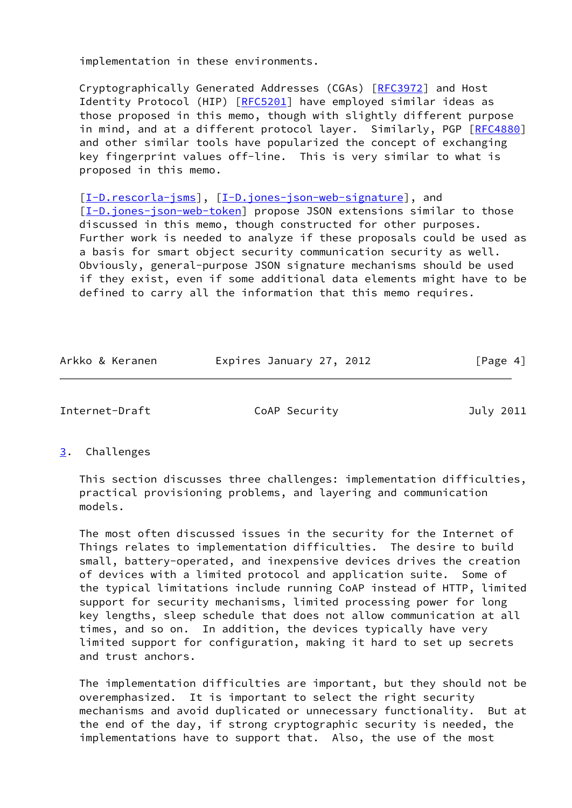implementation in these environments.

 Cryptographically Generated Addresses (CGAs) [\[RFC3972](https://datatracker.ietf.org/doc/pdf/rfc3972)] and Host Identity Protocol (HIP) [\[RFC5201](https://datatracker.ietf.org/doc/pdf/rfc5201)] have employed similar ideas as those proposed in this memo, though with slightly different purpose in mind, and at a different protocol layer. Similarly, PGP [\[RFC4880](https://datatracker.ietf.org/doc/pdf/rfc4880)] and other similar tools have popularized the concept of exchanging key fingerprint values off-line. This is very similar to what is proposed in this memo.

[\[I-D.rescorla-jsms](#page-23-4)], [\[I-D.jones-json-web-signature](#page-23-5)], and [\[I-D.jones-json-web-token](#page-23-6)] propose JSON extensions similar to those discussed in this memo, though constructed for other purposes. Further work is needed to analyze if these proposals could be used as a basis for smart object security communication security as well. Obviously, general-purpose JSON signature mechanisms should be used if they exist, even if some additional data elements might have to be defined to carry all the information that this memo requires.

| Arkko & Keranen | Expires January 27, 2012 | [Page 4] |
|-----------------|--------------------------|----------|
|                 |                          |          |

<span id="page-4-1"></span>Internet-Draft CoAP Security July 2011

<span id="page-4-0"></span>[3](#page-4-0). Challenges

 This section discusses three challenges: implementation difficulties, practical provisioning problems, and layering and communication models.

 The most often discussed issues in the security for the Internet of Things relates to implementation difficulties. The desire to build small, battery-operated, and inexpensive devices drives the creation of devices with a limited protocol and application suite. Some of the typical limitations include running CoAP instead of HTTP, limited support for security mechanisms, limited processing power for long key lengths, sleep schedule that does not allow communication at all times, and so on. In addition, the devices typically have very limited support for configuration, making it hard to set up secrets and trust anchors.

 The implementation difficulties are important, but they should not be overemphasized. It is important to select the right security mechanisms and avoid duplicated or unnecessary functionality. But at the end of the day, if strong cryptographic security is needed, the implementations have to support that. Also, the use of the most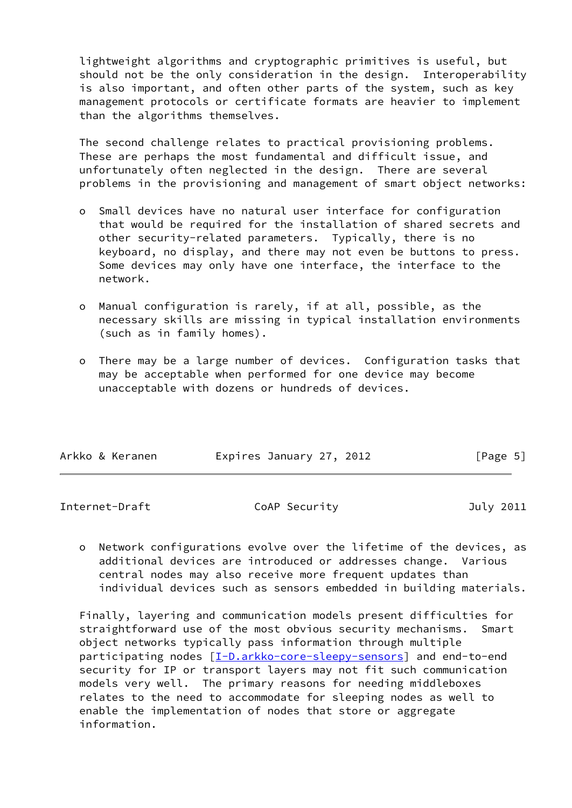lightweight algorithms and cryptographic primitives is useful, but should not be the only consideration in the design. Interoperability is also important, and often other parts of the system, such as key management protocols or certificate formats are heavier to implement than the algorithms themselves.

 The second challenge relates to practical provisioning problems. These are perhaps the most fundamental and difficult issue, and unfortunately often neglected in the design. There are several problems in the provisioning and management of smart object networks:

- o Small devices have no natural user interface for configuration that would be required for the installation of shared secrets and other security-related parameters. Typically, there is no keyboard, no display, and there may not even be buttons to press. Some devices may only have one interface, the interface to the network.
- o Manual configuration is rarely, if at all, possible, as the necessary skills are missing in typical installation environments (such as in family homes).
- o There may be a large number of devices. Configuration tasks that may be acceptable when performed for one device may become unacceptable with dozens or hundreds of devices.

| Arkko & Keranen | Expires January 27, 2012 | [Page 5] |
|-----------------|--------------------------|----------|
|                 |                          |          |

<span id="page-5-0"></span>Internet-Draft CoAP Security July 2011

 o Network configurations evolve over the lifetime of the devices, as additional devices are introduced or addresses change. Various central nodes may also receive more frequent updates than individual devices such as sensors embedded in building materials.

 Finally, layering and communication models present difficulties for straightforward use of the most obvious security mechanisms. Smart object networks typically pass information through multiple participating nodes [\[I-D.arkko-core-sleepy-sensors](#page-22-0)] and end-to-end security for IP or transport layers may not fit such communication models very well. The primary reasons for needing middleboxes relates to the need to accommodate for sleeping nodes as well to enable the implementation of nodes that store or aggregate information.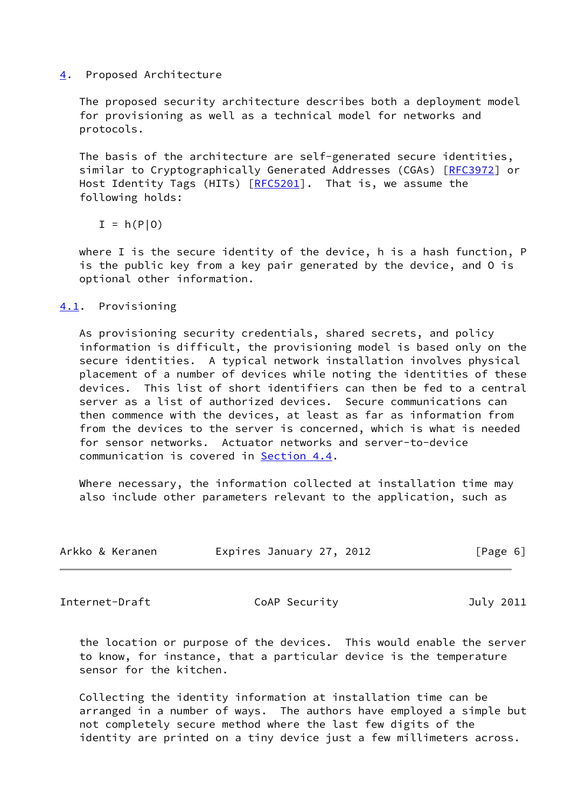### <span id="page-6-0"></span>[4](#page-6-0). Proposed Architecture

 The proposed security architecture describes both a deployment model for provisioning as well as a technical model for networks and protocols.

 The basis of the architecture are self-generated secure identities, similar to Cryptographically Generated Addresses (CGAs) [\[RFC3972](https://datatracker.ietf.org/doc/pdf/rfc3972)] or Host Identity Tags (HITs) [[RFC5201](https://datatracker.ietf.org/doc/pdf/rfc5201)]. That is, we assume the following holds:

 $I = h(P|0)$ 

 where I is the secure identity of the device, h is a hash function, P is the public key from a key pair generated by the device, and O is optional other information.

## <span id="page-6-1"></span>[4.1](#page-6-1). Provisioning

 As provisioning security credentials, shared secrets, and policy information is difficult, the provisioning model is based only on the secure identities. A typical network installation involves physical placement of a number of devices while noting the identities of these devices. This list of short identifiers can then be fed to a central server as a list of authorized devices. Secure communications can then commence with the devices, at least as far as information from from the devices to the server is concerned, which is what is needed for sensor networks. Actuator networks and server-to-device communication is covered in [Section 4.4.](#page-9-0)

 Where necessary, the information collected at installation time may also include other parameters relevant to the application, such as

| Arkko & Keranen | Expires January 27, 2012 | [Page 6] |
|-----------------|--------------------------|----------|
|-----------------|--------------------------|----------|

<span id="page-6-2"></span>Internet-Draft CoAP Security July 2011

 the location or purpose of the devices. This would enable the server to know, for instance, that a particular device is the temperature sensor for the kitchen.

 Collecting the identity information at installation time can be arranged in a number of ways. The authors have employed a simple but not completely secure method where the last few digits of the identity are printed on a tiny device just a few millimeters across.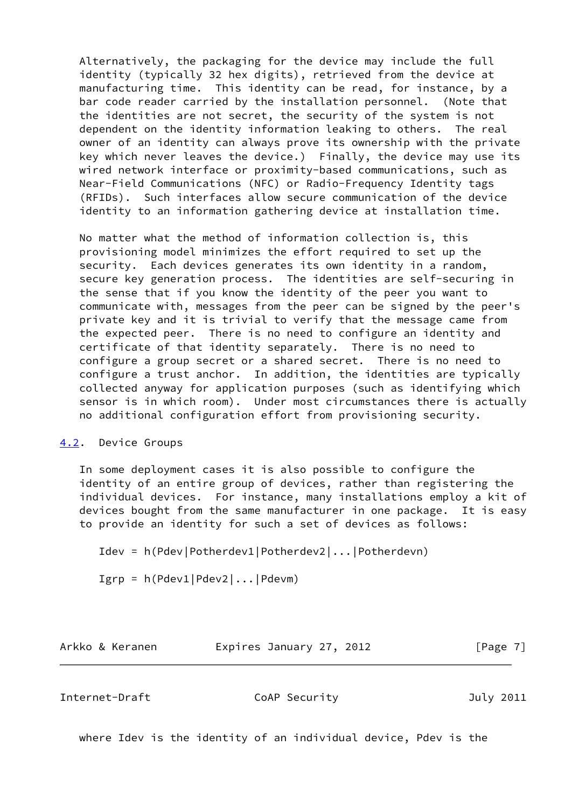Alternatively, the packaging for the device may include the full identity (typically 32 hex digits), retrieved from the device at manufacturing time. This identity can be read, for instance, by a bar code reader carried by the installation personnel. (Note that the identities are not secret, the security of the system is not dependent on the identity information leaking to others. The real owner of an identity can always prove its ownership with the private key which never leaves the device.) Finally, the device may use its wired network interface or proximity-based communications, such as Near-Field Communications (NFC) or Radio-Frequency Identity tags (RFIDs). Such interfaces allow secure communication of the device identity to an information gathering device at installation time.

 No matter what the method of information collection is, this provisioning model minimizes the effort required to set up the security. Each devices generates its own identity in a random, secure key generation process. The identities are self-securing in the sense that if you know the identity of the peer you want to communicate with, messages from the peer can be signed by the peer's private key and it is trivial to verify that the message came from the expected peer. There is no need to configure an identity and certificate of that identity separately. There is no need to configure a group secret or a shared secret. There is no need to configure a trust anchor. In addition, the identities are typically collected anyway for application purposes (such as identifying which sensor is in which room). Under most circumstances there is actually no additional configuration effort from provisioning security.

## <span id="page-7-0"></span>[4.2](#page-7-0). Device Groups

 In some deployment cases it is also possible to configure the identity of an entire group of devices, rather than registering the individual devices. For instance, many installations employ a kit of devices bought from the same manufacturer in one package. It is easy to provide an identity for such a set of devices as follows:

Idev = h(Pdev|Potherdev1|Potherdev2|...|Potherdevn)

Igrp = h(Pdev1|Pdev2|...|Pdevm)

Arkko & Keranen Expires January 27, 2012 [Page 7]

<span id="page-7-1"></span>Internet-Draft CoAP Security July 2011

where Idev is the identity of an individual device, Pdev is the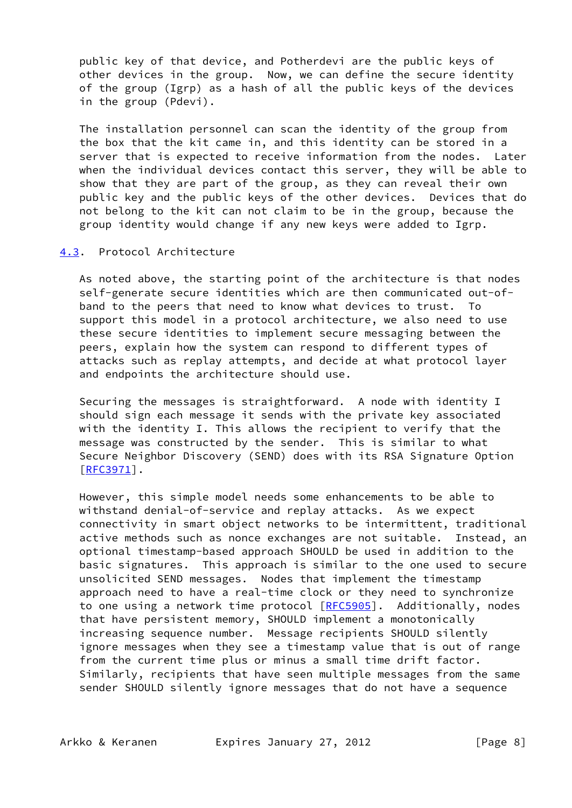public key of that device, and Potherdevi are the public keys of other devices in the group. Now, we can define the secure identity of the group (Igrp) as a hash of all the public keys of the devices in the group (Pdevi).

 The installation personnel can scan the identity of the group from the box that the kit came in, and this identity can be stored in a server that is expected to receive information from the nodes. Later when the individual devices contact this server, they will be able to show that they are part of the group, as they can reveal their own public key and the public keys of the other devices. Devices that do not belong to the kit can not claim to be in the group, because the group identity would change if any new keys were added to Igrp.

### <span id="page-8-0"></span>[4.3](#page-8-0). Protocol Architecture

 As noted above, the starting point of the architecture is that nodes self-generate secure identities which are then communicated out-of band to the peers that need to know what devices to trust. To support this model in a protocol architecture, we also need to use these secure identities to implement secure messaging between the peers, explain how the system can respond to different types of attacks such as replay attempts, and decide at what protocol layer and endpoints the architecture should use.

 Securing the messages is straightforward. A node with identity I should sign each message it sends with the private key associated with the identity I. This allows the recipient to verify that the message was constructed by the sender. This is similar to what Secure Neighbor Discovery (SEND) does with its RSA Signature Option  $[REC3971]$ .

 However, this simple model needs some enhancements to be able to withstand denial-of-service and replay attacks. As we expect connectivity in smart object networks to be intermittent, traditional active methods such as nonce exchanges are not suitable. Instead, an optional timestamp-based approach SHOULD be used in addition to the basic signatures. This approach is similar to the one used to secure unsolicited SEND messages. Nodes that implement the timestamp approach need to have a real-time clock or they need to synchronize to one using a network time protocol [\[RFC5905](https://datatracker.ietf.org/doc/pdf/rfc5905)]. Additionally, nodes that have persistent memory, SHOULD implement a monotonically increasing sequence number. Message recipients SHOULD silently ignore messages when they see a timestamp value that is out of range from the current time plus or minus a small time drift factor. Similarly, recipients that have seen multiple messages from the same sender SHOULD silently ignore messages that do not have a sequence

Arkko & Keranen Expires January 27, 2012 [Page 8]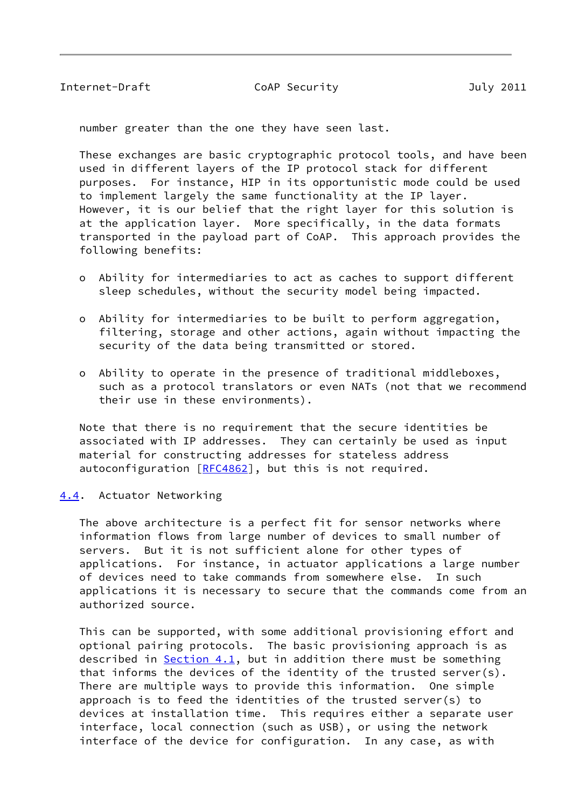<span id="page-9-1"></span>number greater than the one they have seen last.

 These exchanges are basic cryptographic protocol tools, and have been used in different layers of the IP protocol stack for different purposes. For instance, HIP in its opportunistic mode could be used to implement largely the same functionality at the IP layer. However, it is our belief that the right layer for this solution is at the application layer. More specifically, in the data formats transported in the payload part of CoAP. This approach provides the following benefits:

- o Ability for intermediaries to act as caches to support different sleep schedules, without the security model being impacted.
- o Ability for intermediaries to be built to perform aggregation, filtering, storage and other actions, again without impacting the security of the data being transmitted or stored.
- o Ability to operate in the presence of traditional middleboxes, such as a protocol translators or even NATs (not that we recommend their use in these environments).

 Note that there is no requirement that the secure identities be associated with IP addresses. They can certainly be used as input material for constructing addresses for stateless address autoconfiguration [[RFC4862](https://datatracker.ietf.org/doc/pdf/rfc4862)], but this is not required.

#### <span id="page-9-0"></span>[4.4](#page-9-0). Actuator Networking

 The above architecture is a perfect fit for sensor networks where information flows from large number of devices to small number of servers. But it is not sufficient alone for other types of applications. For instance, in actuator applications a large number of devices need to take commands from somewhere else. In such applications it is necessary to secure that the commands come from an authorized source.

 This can be supported, with some additional provisioning effort and optional pairing protocols. The basic provisioning approach is as described in [Section 4.1](#page-6-1), but in addition there must be something that informs the devices of the identity of the trusted server(s). There are multiple ways to provide this information. One simple approach is to feed the identities of the trusted server(s) to devices at installation time. This requires either a separate user interface, local connection (such as USB), or using the network interface of the device for configuration. In any case, as with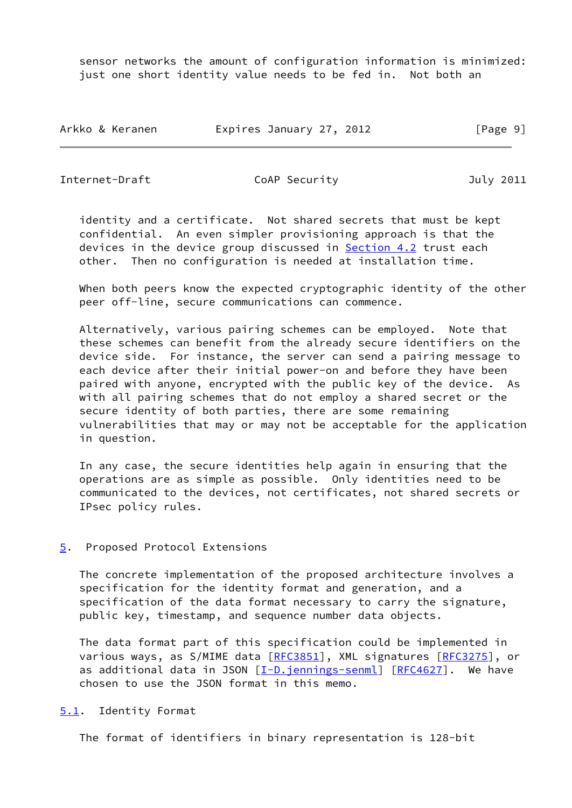sensor networks the amount of configuration information is minimized: just one short identity value needs to be fed in. Not both an

| Arkko & Keranen | Expires January 27, 2012 | [Page 9] |
|-----------------|--------------------------|----------|
|-----------------|--------------------------|----------|

<span id="page-10-1"></span>Internet-Draft CoAP Security July 2011

 identity and a certificate. Not shared secrets that must be kept confidential. An even simpler provisioning approach is that the devices in the device group discussed in **Section 4.2** trust each other. Then no configuration is needed at installation time.

 When both peers know the expected cryptographic identity of the other peer off-line, secure communications can commence.

 Alternatively, various pairing schemes can be employed. Note that these schemes can benefit from the already secure identifiers on the device side. For instance, the server can send a pairing message to each device after their initial power-on and before they have been paired with anyone, encrypted with the public key of the device. As with all pairing schemes that do not employ a shared secret or the secure identity of both parties, there are some remaining vulnerabilities that may or may not be acceptable for the application in question.

 In any case, the secure identities help again in ensuring that the operations are as simple as possible. Only identities need to be communicated to the devices, not certificates, not shared secrets or IPsec policy rules.

## <span id="page-10-0"></span>[5](#page-10-0). Proposed Protocol Extensions

 The concrete implementation of the proposed architecture involves a specification for the identity format and generation, and a specification of the data format necessary to carry the signature, public key, timestamp, and sequence number data objects.

 The data format part of this specification could be implemented in various ways, as S/MIME data [\[RFC3851](https://datatracker.ietf.org/doc/pdf/rfc3851)], XML signatures [\[RFC3275](https://datatracker.ietf.org/doc/pdf/rfc3275)], or as additional data in JSON [[I-D.jennings-senml\]](#page-20-2) [\[RFC4627](https://datatracker.ietf.org/doc/pdf/rfc4627)]. We have chosen to use the JSON format in this memo.

### <span id="page-10-2"></span>[5.1](#page-10-2). Identity Format

The format of identifiers in binary representation is 128-bit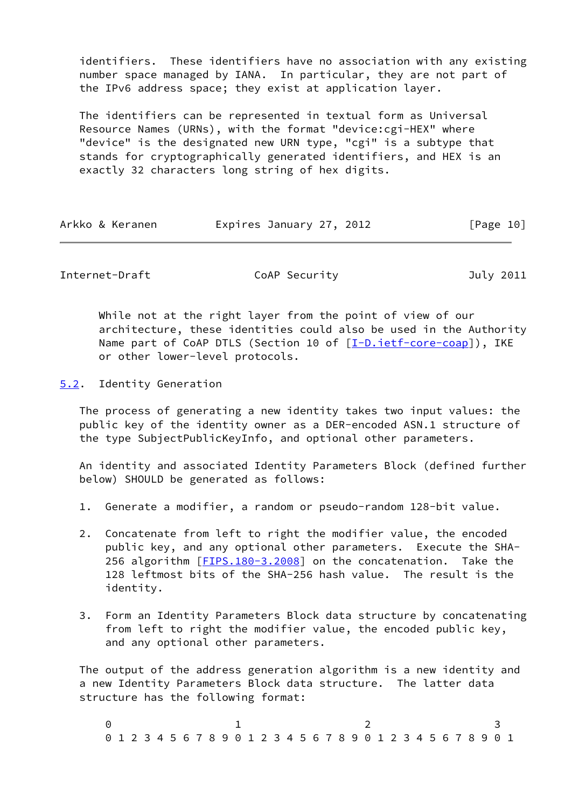identifiers. These identifiers have no association with any existing number space managed by IANA. In particular, they are not part of the IPv6 address space; they exist at application layer.

 The identifiers can be represented in textual form as Universal Resource Names (URNs), with the format "device:cgi-HEX" where "device" is the designated new URN type, "cgi" is a subtype that stands for cryptographically generated identifiers, and HEX is an exactly 32 characters long string of hex digits.

| Arkko & Keranen | Expires January 27, 2012 | [Page 10] |
|-----------------|--------------------------|-----------|
|-----------------|--------------------------|-----------|

<span id="page-11-1"></span>Internet-Draft CoAP Security July 2011

 While not at the right layer from the point of view of our architecture, these identities could also be used in the Authority Name part of CoAP DTLS (Section 10 of  $[I-D.iett-core-coap]$ ), IKE or other lower-level protocols.

<span id="page-11-0"></span>[5.2](#page-11-0). Identity Generation

 The process of generating a new identity takes two input values: the public key of the identity owner as a DER-encoded ASN.1 structure of the type SubjectPublicKeyInfo, and optional other parameters.

 An identity and associated Identity Parameters Block (defined further below) SHOULD be generated as follows:

- 1. Generate a modifier, a random or pseudo-random 128-bit value.
- 2. Concatenate from left to right the modifier value, the encoded public key, and any optional other parameters. Execute the SHA- 256 algorithm [[FIPS.180-3.2008](#page-20-3)] on the concatenation. Take the 128 leftmost bits of the SHA-256 hash value. The result is the identity.
- 3. Form an Identity Parameters Block data structure by concatenating from left to right the modifier value, the encoded public key, and any optional other parameters.

 The output of the address generation algorithm is a new identity and a new Identity Parameters Block data structure. The latter data structure has the following format:

0 1 2 3 0 1 2 3 4 5 6 7 8 9 0 1 2 3 4 5 6 7 8 9 0 1 2 3 4 5 6 7 8 9 0 1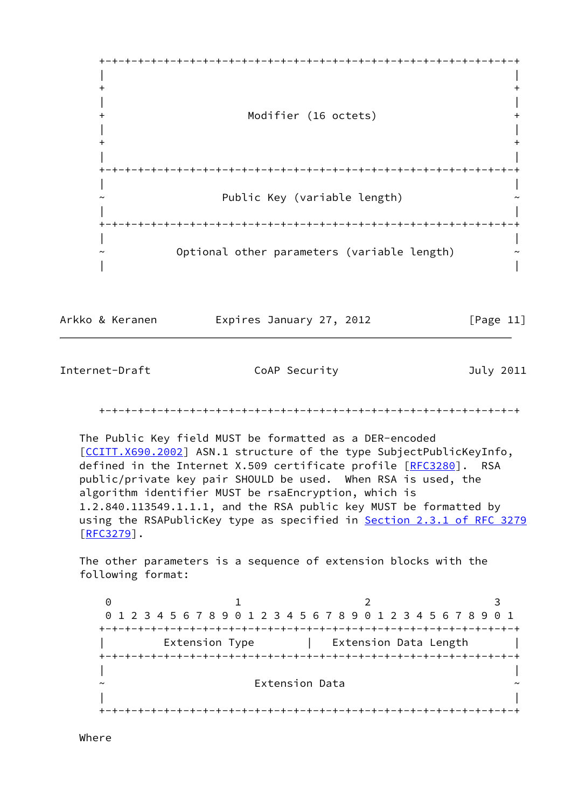

Arkko & Keranen **Expires January 27, 2012** [Page 11]

Internet-Draft CoAP Security July 2011

+-+-+-+-+-+-+-+-+-+-+-+-+-+-+-+-+-+-+-+-+-+-+-+-+-+-+-+-+-+-+-+-+

 The Public Key field MUST be formatted as a DER-encoded [\[CCITT.X690.2002](#page-20-4)] ASN.1 structure of the type SubjectPublicKeyInfo, defined in the Internet X.509 certificate profile [[RFC3280](https://datatracker.ietf.org/doc/pdf/rfc3280)]. RSA public/private key pair SHOULD be used. When RSA is used, the algorithm identifier MUST be rsaEncryption, which is 1.2.840.113549.1.1.1, and the RSA public key MUST be formatted by using the RSAPublicKey type as specified in Section [2.3.1 of RFC 3279](https://datatracker.ietf.org/doc/pdf/rfc3279#section-2.3.1)  $[REC3279]$ .

 The other parameters is a sequence of extension blocks with the following format:

0 1 2 3 0 1 2 3 4 5 6 7 8 9 0 1 2 3 4 5 6 7 8 9 0 1 2 3 4 5 6 7 8 9 0 1 +-+-+-+-+-+-+-+-+-+-+-+-+-+-+-+-+-+-+-+-+-+-+-+-+-+-+-+-+-+-+-+-+ Extension Type | Extension Data Length | +-+-+-+-+-+-+-+-+-+-+-+-+-+-+-+-+-+-+-+-+-+-+-+-+-+-+-+-+-+-+-+-+ | | ~ Extension Data ~ | | +-+-+-+-+-+-+-+-+-+-+-+-+-+-+-+-+-+-+-+-+-+-+-+-+-+-+-+-+-+-+-+-+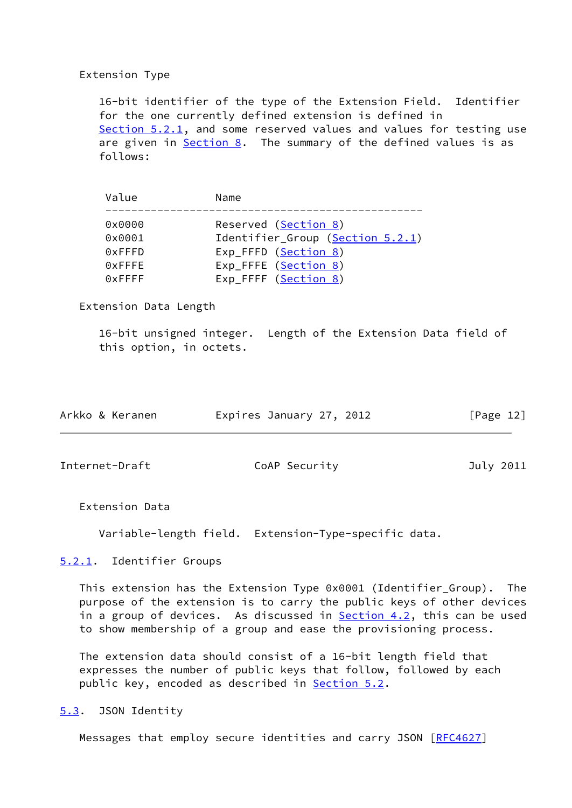## Extension Type

 16-bit identifier of the type of the Extension Field. Identifier for the one currently defined extension is defined in [Section 5.2.1,](#page-13-0) and some reserved values and values for testing use are given in [Section 8](#page-19-0). The summary of the defined values is as follows:

| Reserved (Section 8)<br>0x0000<br>Identifier_Group (Section 5.2.1)<br>0x0001<br>Exp_FFFD (Section 8)<br>0xFFFD<br>Exp_FFFE (Section 8)<br>0xFFFE<br>Exp_FFFF (Section 8)<br>$0x$ FFFF | Value | Name |
|---------------------------------------------------------------------------------------------------------------------------------------------------------------------------------------|-------|------|
|                                                                                                                                                                                       |       |      |
|                                                                                                                                                                                       |       |      |
|                                                                                                                                                                                       |       |      |

Extension Data Length

 16-bit unsigned integer. Length of the Extension Data field of this option, in octets.

| Arkko & Keranen | Expires January 27, 2012 |  | [Page 12] |
|-----------------|--------------------------|--|-----------|
|                 |                          |  |           |

<span id="page-13-1"></span>Internet-Draft CoAP Security Coap Security July 2011

Extension Data

Variable-length field. Extension-Type-specific data.

<span id="page-13-0"></span>[5.2.1](#page-13-0). Identifier Groups

 This extension has the Extension Type 0x0001 (Identifier\_Group). The purpose of the extension is to carry the public keys of other devices in a group of devices. As discussed in **Section 4.2**, this can be used to show membership of a group and ease the provisioning process.

 The extension data should consist of a 16-bit length field that expresses the number of public keys that follow, followed by each public key, encoded as described in [Section 5.2.](#page-11-0)

<span id="page-13-2"></span>[5.3](#page-13-2). JSON Identity

Messages that employ secure identities and carry JSON [[RFC4627](https://datatracker.ietf.org/doc/pdf/rfc4627)]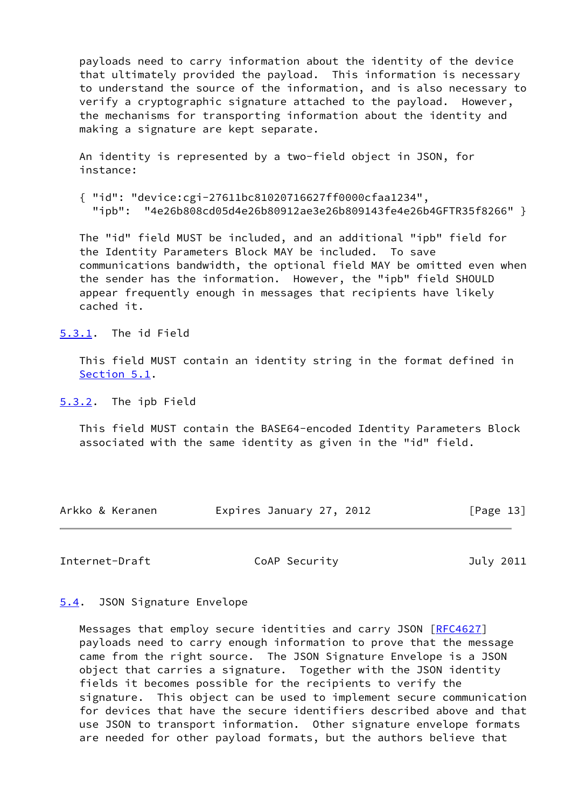payloads need to carry information about the identity of the device that ultimately provided the payload. This information is necessary to understand the source of the information, and is also necessary to verify a cryptographic signature attached to the payload. However, the mechanisms for transporting information about the identity and making a signature are kept separate.

 An identity is represented by a two-field object in JSON, for instance:

 { "id": "device:cgi-27611bc81020716627ff0000cfaa1234", "ipb": "4e26b808cd05d4e26b80912ae3e26b809143fe4e26b4GFTR35f8266" }

 The "id" field MUST be included, and an additional "ipb" field for the Identity Parameters Block MAY be included. To save communications bandwidth, the optional field MAY be omitted even when the sender has the information. However, the "ipb" field SHOULD appear frequently enough in messages that recipients have likely cached it.

<span id="page-14-0"></span>[5.3.1](#page-14-0). The id Field

 This field MUST contain an identity string in the format defined in [Section 5.1](#page-10-2).

<span id="page-14-1"></span>[5.3.2](#page-14-1). The ipb Field

 This field MUST contain the BASE64-encoded Identity Parameters Block associated with the same identity as given in the "id" field.

| Arkko & Keranen | Expires January 27, 2012 | [Page 13] |
|-----------------|--------------------------|-----------|
|-----------------|--------------------------|-----------|

<span id="page-14-3"></span>Internet-Draft CoAP Security July 2011

### <span id="page-14-2"></span>[5.4](#page-14-2). JSON Signature Envelope

 Messages that employ secure identities and carry JSON [[RFC4627](https://datatracker.ietf.org/doc/pdf/rfc4627)] payloads need to carry enough information to prove that the message came from the right source. The JSON Signature Envelope is a JSON object that carries a signature. Together with the JSON identity fields it becomes possible for the recipients to verify the signature. This object can be used to implement secure communication for devices that have the secure identifiers described above and that use JSON to transport information. Other signature envelope formats are needed for other payload formats, but the authors believe that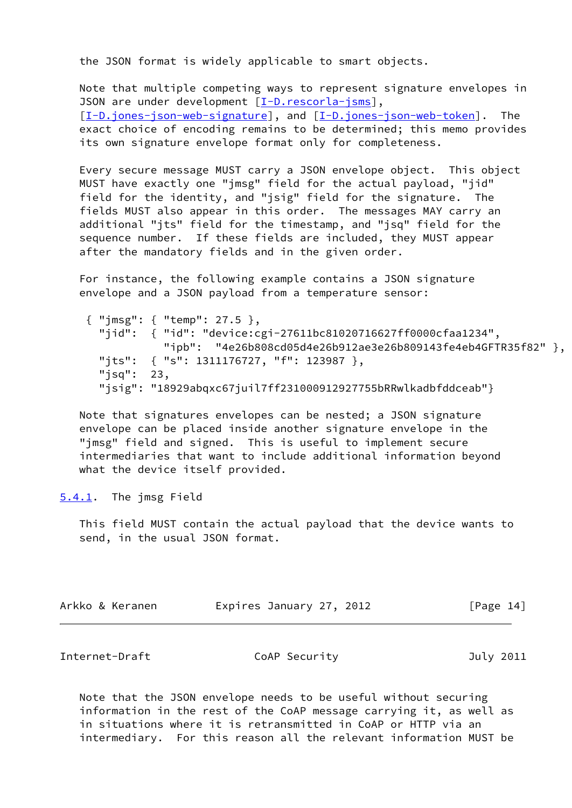the JSON format is widely applicable to smart objects.

 Note that multiple competing ways to represent signature envelopes in JSON are under development [[I-D.rescorla-jsms\]](#page-23-4), [\[I-D.jones-json-web-signature](#page-23-5)], and [\[I-D.jones-json-web-token](#page-23-6)]. The exact choice of encoding remains to be determined; this memo provides its own signature envelope format only for completeness.

 Every secure message MUST carry a JSON envelope object. This object MUST have exactly one "jmsg" field for the actual payload, "jid" field for the identity, and "jsig" field for the signature. The fields MUST also appear in this order. The messages MAY carry an additional "jts" field for the timestamp, and "jsq" field for the sequence number. If these fields are included, they MUST appear after the mandatory fields and in the given order.

 For instance, the following example contains a JSON signature envelope and a JSON payload from a temperature sensor:

 { "jmsg": { "temp": 27.5 }, "jid": { "id": "device:cgi-27611bc81020716627ff0000cfaa1234", "ipb": "4e26b808cd05d4e26b912ae3e26b809143fe4eb4GFTR35f82" }, "jts": { "s": 1311176727, "f": 123987 }, "jsq": 23, "jsig": "18929abqxc67juil7ff231000912927755bRRwlkadbfddceab"}

 Note that signatures envelopes can be nested; a JSON signature envelope can be placed inside another signature envelope in the "jmsg" field and signed. This is useful to implement secure intermediaries that want to include additional information beyond what the device itself provided.

<span id="page-15-0"></span>[5.4.1](#page-15-0). The jmsg Field

 This field MUST contain the actual payload that the device wants to send, in the usual JSON format.

| Arkko & Keranen | Expires January 27, 2012 |  | [Page 14] |
|-----------------|--------------------------|--|-----------|
|-----------------|--------------------------|--|-----------|

<span id="page-15-1"></span>Internet-Draft CoAP Security July 2011

 Note that the JSON envelope needs to be useful without securing information in the rest of the CoAP message carrying it, as well as in situations where it is retransmitted in CoAP or HTTP via an intermediary. For this reason all the relevant information MUST be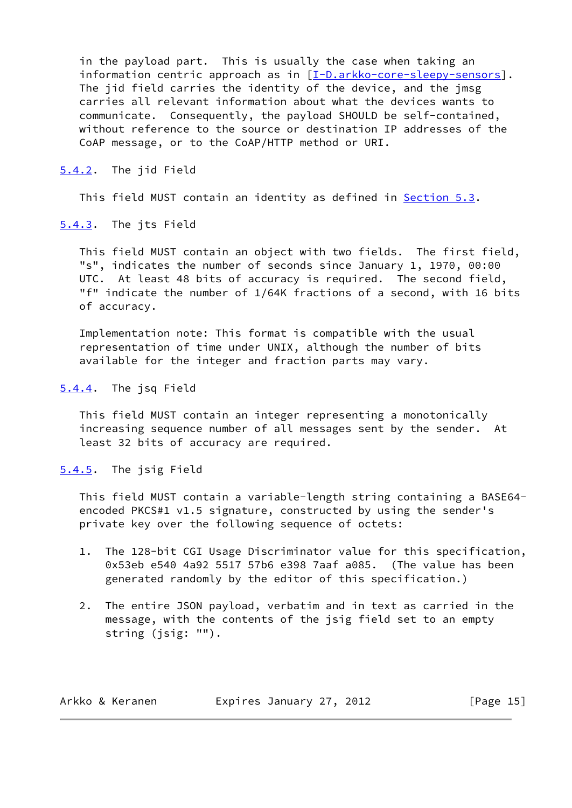in the payload part. This is usually the case when taking an information centric approach as in [[I-D.arkko-core-sleepy-sensors\]](#page-22-0). The jid field carries the identity of the device, and the jmsg carries all relevant information about what the devices wants to communicate. Consequently, the payload SHOULD be self-contained, without reference to the source or destination IP addresses of the CoAP message, or to the CoAP/HTTP method or URI.

<span id="page-16-0"></span>[5.4.2](#page-16-0). The jid Field

This field MUST contain an identity as defined in [Section 5.3](#page-13-2).

<span id="page-16-1"></span>[5.4.3](#page-16-1). The jts Field

 This field MUST contain an object with two fields. The first field, "s", indicates the number of seconds since January 1, 1970, 00:00 UTC. At least 48 bits of accuracy is required. The second field, "f" indicate the number of 1/64K fractions of a second, with 16 bits of accuracy.

 Implementation note: This format is compatible with the usual representation of time under UNIX, although the number of bits available for the integer and fraction parts may vary.

<span id="page-16-2"></span>[5.4.4](#page-16-2). The jsq Field

 This field MUST contain an integer representing a monotonically increasing sequence number of all messages sent by the sender. At least 32 bits of accuracy are required.

<span id="page-16-3"></span>[5.4.5](#page-16-3). The jsig Field

 This field MUST contain a variable-length string containing a BASE64 encoded PKCS#1 v1.5 signature, constructed by using the sender's private key over the following sequence of octets:

- 1. The 128-bit CGI Usage Discriminator value for this specification, 0x53eb e540 4a92 5517 57b6 e398 7aaf a085. (The value has been generated randomly by the editor of this specification.)
- 2. The entire JSON payload, verbatim and in text as carried in the message, with the contents of the jsig field set to an empty string (jsig: "").

| Arkko & Keranen | Expires January 27, 2012 | [Page 15] |
|-----------------|--------------------------|-----------|
|-----------------|--------------------------|-----------|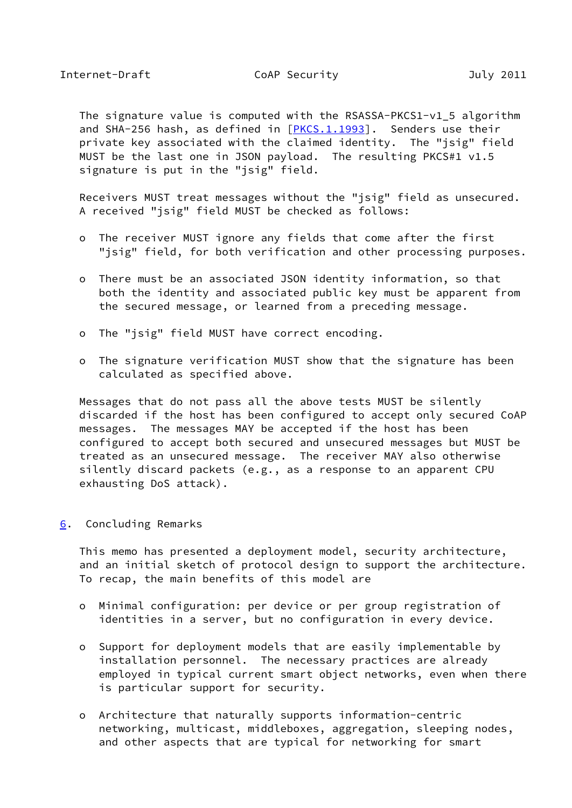<span id="page-17-1"></span> The signature value is computed with the RSASSA-PKCS1-v1\_5 algorithm and SHA-256 hash, as defined in  $[PKCS.1.1993]$  $[PKCS.1.1993]$ . Senders use their private key associated with the claimed identity. The "isig" field MUST be the last one in JSON payload. The resulting PKCS#1 v1.5 signature is put in the "jsig" field.

 Receivers MUST treat messages without the "jsig" field as unsecured. A received "jsig" field MUST be checked as follows:

- o The receiver MUST ignore any fields that come after the first "jsig" field, for both verification and other processing purposes.
- o There must be an associated JSON identity information, so that both the identity and associated public key must be apparent from the secured message, or learned from a preceding message.
- o The "jsig" field MUST have correct encoding.
- o The signature verification MUST show that the signature has been calculated as specified above.

 Messages that do not pass all the above tests MUST be silently discarded if the host has been configured to accept only secured CoAP messages. The messages MAY be accepted if the host has been configured to accept both secured and unsecured messages but MUST be treated as an unsecured message. The receiver MAY also otherwise silently discard packets (e.g., as a response to an apparent CPU exhausting DoS attack).

<span id="page-17-0"></span>[6](#page-17-0). Concluding Remarks

 This memo has presented a deployment model, security architecture, and an initial sketch of protocol design to support the architecture. To recap, the main benefits of this model are

- o Minimal configuration: per device or per group registration of identities in a server, but no configuration in every device.
- o Support for deployment models that are easily implementable by installation personnel. The necessary practices are already employed in typical current smart object networks, even when there is particular support for security.
- o Architecture that naturally supports information-centric networking, multicast, middleboxes, aggregation, sleeping nodes, and other aspects that are typical for networking for smart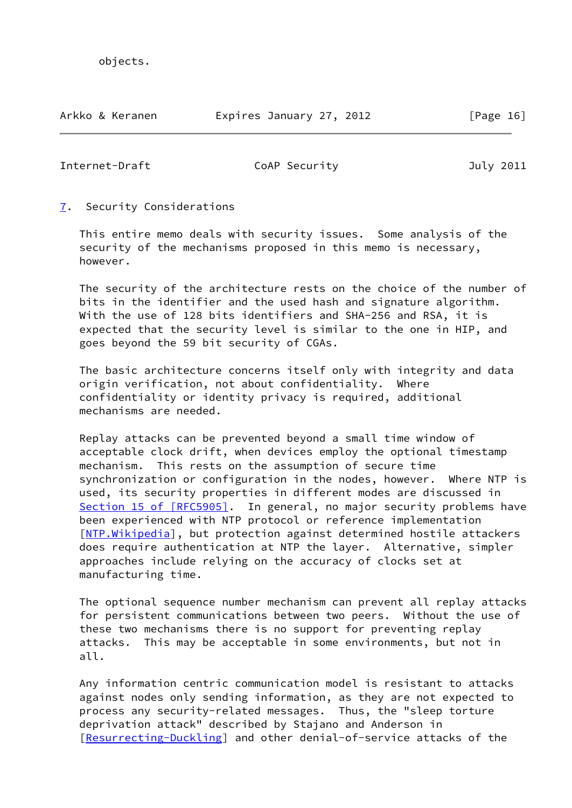Arkko & Keranen Expires January 27, 2012 [Page 16]

<span id="page-18-1"></span>Internet-Draft CoAP Security July 2011

## <span id="page-18-0"></span>[7](#page-18-0). Security Considerations

 This entire memo deals with security issues. Some analysis of the security of the mechanisms proposed in this memo is necessary, however.

 The security of the architecture rests on the choice of the number of bits in the identifier and the used hash and signature algorithm. With the use of 128 bits identifiers and SHA-256 and RSA, it is expected that the security level is similar to the one in HIP, and goes beyond the 59 bit security of CGAs.

 The basic architecture concerns itself only with integrity and data origin verification, not about confidentiality. Where confidentiality or identity privacy is required, additional mechanisms are needed.

 Replay attacks can be prevented beyond a small time window of acceptable clock drift, when devices employ the optional timestamp mechanism. This rests on the assumption of secure time synchronization or configuration in the nodes, however. Where NTP is used, its security properties in different modes are discussed in Section [15 of \[RFC5905\]](https://datatracker.ietf.org/doc/pdf/rfc5905#section-15). In general, no major security problems have been experienced with NTP protocol or reference implementation [NTP. Wikipedia], but protection against determined hostile attackers does require authentication at NTP the layer. Alternative, simpler approaches include relying on the accuracy of clocks set at manufacturing time.

 The optional sequence number mechanism can prevent all replay attacks for persistent communications between two peers. Without the use of these two mechanisms there is no support for preventing replay attacks. This may be acceptable in some environments, but not in all.

 Any information centric communication model is resistant to attacks against nodes only sending information, as they are not expected to process any security-related messages. Thus, the "sleep torture deprivation attack" described by Stajano and Anderson in [\[Resurrecting-Duckling](#page-24-2)] and other denial-of-service attacks of the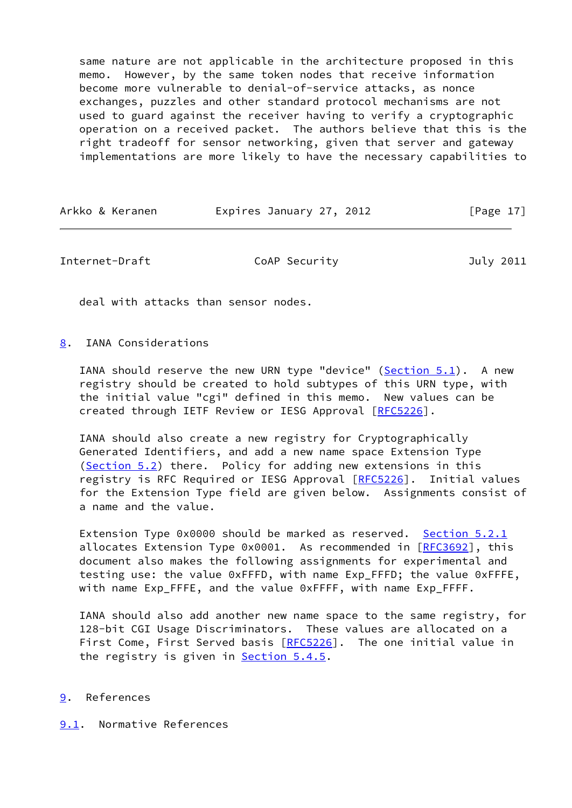same nature are not applicable in the architecture proposed in this memo. However, by the same token nodes that receive information become more vulnerable to denial-of-service attacks, as nonce exchanges, puzzles and other standard protocol mechanisms are not used to guard against the receiver having to verify a cryptographic operation on a received packet. The authors believe that this is the right tradeoff for sensor networking, given that server and gateway implementations are more likely to have the necessary capabilities to

| Expires January 27, 2012<br>Arkko & Keranen |  | [Page 17] |
|---------------------------------------------|--|-----------|
|---------------------------------------------|--|-----------|

<span id="page-19-1"></span>Internet-Draft CoAP Security July 2011

deal with attacks than sensor nodes.

<span id="page-19-0"></span>[8](#page-19-0). IANA Considerations

IANA should reserve the new URN type "device" ([Section 5.1](#page-10-2)). A new registry should be created to hold subtypes of this URN type, with the initial value "cgi" defined in this memo. New values can be created through IETF Review or IESG Approval [\[RFC5226](https://datatracker.ietf.org/doc/pdf/rfc5226)].

 IANA should also create a new registry for Cryptographically Generated Identifiers, and add a new name space Extension Type [\(Section 5.2](#page-11-0)) there. Policy for adding new extensions in this registry is RFC Required or IESG Approval [[RFC5226](https://datatracker.ietf.org/doc/pdf/rfc5226)]. Initial values for the Extension Type field are given below. Assignments consist of a name and the value.

Extension Type 0x0000 should be marked as reserved. [Section 5.2.1](#page-13-0) allocates Extension Type  $0x0001$ . As recommended in  $[REC3692]$ , this document also makes the following assignments for experimental and testing use: the value 0xFFFD, with name Exp\_FFFD; the value 0xFFFE, with name Exp\_FFFE, and the value 0xFFFF, with name Exp\_FFFF.

 IANA should also add another new name space to the same registry, for 128-bit CGI Usage Discriminators. These values are allocated on a First Come, First Served basis [\[RFC5226](https://datatracker.ietf.org/doc/pdf/rfc5226)]. The one initial value in the registry is given in **Section 5.4.5.** 

### <span id="page-19-2"></span>[9](#page-19-2). References

<span id="page-19-3"></span>[9.1](#page-19-3). Normative References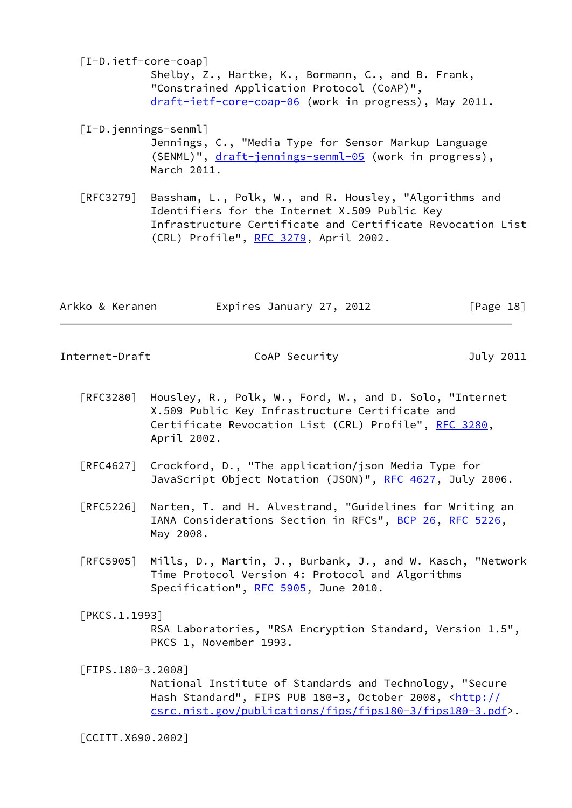<span id="page-20-1"></span> [I-D.ietf-core-coap] Shelby, Z., Hartke, K., Bormann, C., and B. Frank, "Constrained Application Protocol (CoAP)", [draft-ietf-core-coap-06](https://datatracker.ietf.org/doc/pdf/draft-ietf-core-coap-06) (work in progress), May 2011.

<span id="page-20-2"></span> [I-D.jennings-senml] Jennings, C., "Media Type for Sensor Markup Language (SENML)", [draft-jennings-senml-05](https://datatracker.ietf.org/doc/pdf/draft-jennings-senml-05) (work in progress), March 2011.

 [RFC3279] Bassham, L., Polk, W., and R. Housley, "Algorithms and Identifiers for the Internet X.509 Public Key Infrastructure Certificate and Certificate Revocation List (CRL) Profile", [RFC 3279,](https://datatracker.ietf.org/doc/pdf/rfc3279) April 2002.

| Expires January 27, 2012<br>Arkko & Keranen | [Page 18] |
|---------------------------------------------|-----------|
|---------------------------------------------|-----------|

<span id="page-20-0"></span>Internet-Draft CoAP Security Coap Security July 2011

- [RFC3280] Housley, R., Polk, W., Ford, W., and D. Solo, "Internet X.509 Public Key Infrastructure Certificate and Certificate Revocation List (CRL) Profile", [RFC 3280,](https://datatracker.ietf.org/doc/pdf/rfc3280) April 2002.
- [RFC4627] Crockford, D., "The application/json Media Type for JavaScript Object Notation (JSON)", [RFC 4627,](https://datatracker.ietf.org/doc/pdf/rfc4627) July 2006.
- [RFC5226] Narten, T. and H. Alvestrand, "Guidelines for Writing an IANA Considerations Section in RFCs", [BCP 26](https://datatracker.ietf.org/doc/pdf/bcp26), [RFC 5226](https://datatracker.ietf.org/doc/pdf/rfc5226), May 2008.
- [RFC5905] Mills, D., Martin, J., Burbank, J., and W. Kasch, "Network Time Protocol Version 4: Protocol and Algorithms Specification", [RFC 5905,](https://datatracker.ietf.org/doc/pdf/rfc5905) June 2010.

<span id="page-20-5"></span>[PKCS.1.1993]

 RSA Laboratories, "RSA Encryption Standard, Version 1.5", PKCS 1, November 1993.

<span id="page-20-3"></span>[FIPS.180-3.2008]

 National Institute of Standards and Technology, "Secure Hash Standard", FIPS PUB 180-3, October 2008, [<http://](http://csrc.nist.gov/publications/fips/fips180-3/fips180-3.pdf) [csrc.nist.gov/publications/fips/fips180-3/fips180-3.pdf](http://csrc.nist.gov/publications/fips/fips180-3/fips180-3.pdf)>.

<span id="page-20-4"></span>[CCITT.X690.2002]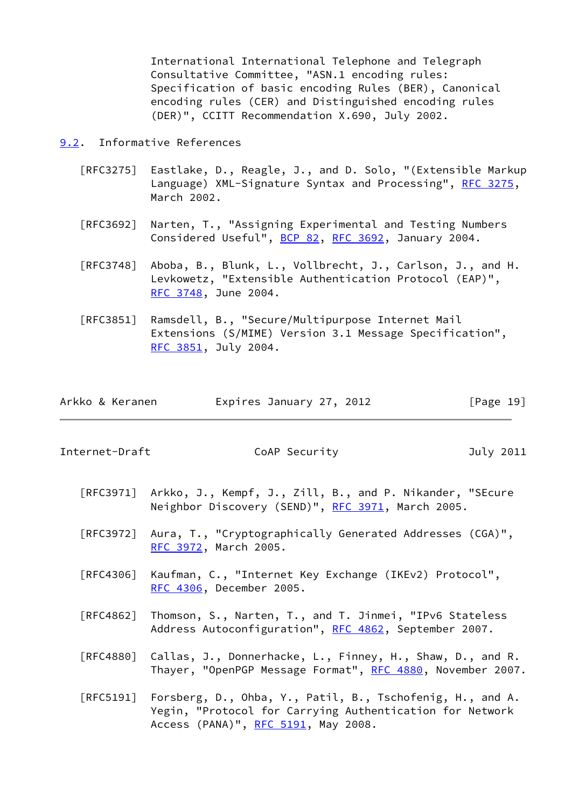International International Telephone and Telegraph Consultative Committee, "ASN.1 encoding rules: Specification of basic encoding Rules (BER), Canonical encoding rules (CER) and Distinguished encoding rules (DER)", CCITT Recommendation X.690, July 2002.

<span id="page-21-0"></span>[9.2](#page-21-0). Informative References

- [RFC3275] Eastlake, D., Reagle, J., and D. Solo, "(Extensible Markup Language) XML-Signature Syntax and Processing", [RFC 3275,](https://datatracker.ietf.org/doc/pdf/rfc3275) March 2002.
- [RFC3692] Narten, T., "Assigning Experimental and Testing Numbers Considered Useful", [BCP 82](https://datatracker.ietf.org/doc/pdf/bcp82), [RFC 3692,](https://datatracker.ietf.org/doc/pdf/rfc3692) January 2004.
- [RFC3748] Aboba, B., Blunk, L., Vollbrecht, J., Carlson, J., and H. Levkowetz, "Extensible Authentication Protocol (EAP)", [RFC 3748,](https://datatracker.ietf.org/doc/pdf/rfc3748) June 2004.
- [RFC3851] Ramsdell, B., "Secure/Multipurpose Internet Mail Extensions (S/MIME) Version 3.1 Message Specification", [RFC 3851,](https://datatracker.ietf.org/doc/pdf/rfc3851) July 2004.

| Arkko & Keranen | Expires January 27, 2012 | [Page 19] |
|-----------------|--------------------------|-----------|
|-----------------|--------------------------|-----------|

Internet-Draft CoAP Security July 2011

- [RFC3971] Arkko, J., Kempf, J., Zill, B., and P. Nikander, "SEcure Neighbor Discovery (SEND)", [RFC 3971,](https://datatracker.ietf.org/doc/pdf/rfc3971) March 2005.
- [RFC3972] Aura, T., "Cryptographically Generated Addresses (CGA)", [RFC 3972,](https://datatracker.ietf.org/doc/pdf/rfc3972) March 2005.
- [RFC4306] Kaufman, C., "Internet Key Exchange (IKEv2) Protocol", [RFC 4306,](https://datatracker.ietf.org/doc/pdf/rfc4306) December 2005.
- [RFC4862] Thomson, S., Narten, T., and T. Jinmei, "IPv6 Stateless Address Autoconfiguration", [RFC 4862,](https://datatracker.ietf.org/doc/pdf/rfc4862) September 2007.
- [RFC4880] Callas, J., Donnerhacke, L., Finney, H., Shaw, D., and R. Thayer, "OpenPGP Message Format", [RFC 4880](https://datatracker.ietf.org/doc/pdf/rfc4880), November 2007.
- [RFC5191] Forsberg, D., Ohba, Y., Patil, B., Tschofenig, H., and A. Yegin, "Protocol for Carrying Authentication for Network Access (PANA)", [RFC 5191,](https://datatracker.ietf.org/doc/pdf/rfc5191) May 2008.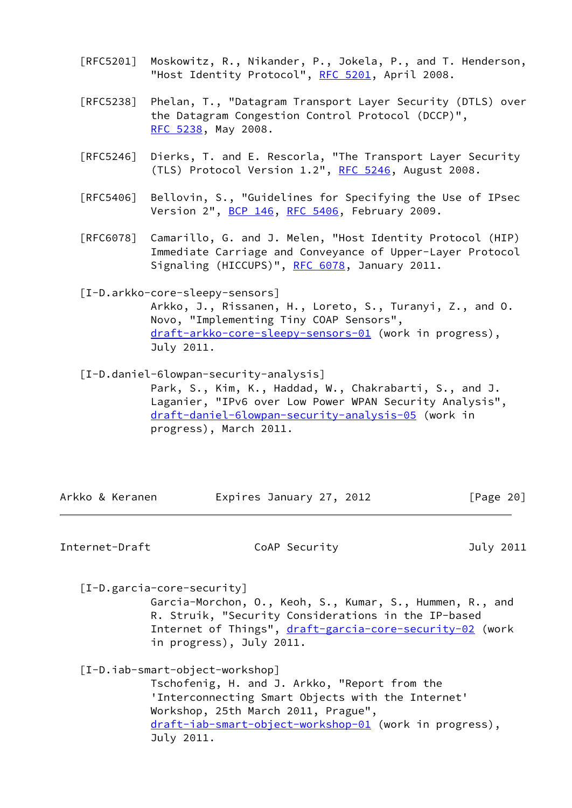- [RFC5201] Moskowitz, R., Nikander, P., Jokela, P., and T. Henderson, "Host Identity Protocol", [RFC 5201](https://datatracker.ietf.org/doc/pdf/rfc5201), April 2008.
- [RFC5238] Phelan, T., "Datagram Transport Layer Security (DTLS) over the Datagram Congestion Control Protocol (DCCP)", [RFC 5238,](https://datatracker.ietf.org/doc/pdf/rfc5238) May 2008.
- [RFC5246] Dierks, T. and E. Rescorla, "The Transport Layer Security (TLS) Protocol Version 1.2", [RFC 5246](https://datatracker.ietf.org/doc/pdf/rfc5246), August 2008.
- [RFC5406] Bellovin, S., "Guidelines for Specifying the Use of IPsec Version 2", [BCP 146](https://datatracker.ietf.org/doc/pdf/bcp146), [RFC 5406](https://datatracker.ietf.org/doc/pdf/rfc5406), February 2009.
- [RFC6078] Camarillo, G. and J. Melen, "Host Identity Protocol (HIP) Immediate Carriage and Conveyance of Upper-Layer Protocol Signaling (HICCUPS)", [RFC 6078](https://datatracker.ietf.org/doc/pdf/rfc6078), January 2011.

<span id="page-22-0"></span> [I-D.arkko-core-sleepy-sensors] Arkko, J., Rissanen, H., Loreto, S., Turanyi, Z., and O. Novo, "Implementing Tiny COAP Sensors", [draft-arkko-core-sleepy-sensors-01](https://datatracker.ietf.org/doc/pdf/draft-arkko-core-sleepy-sensors-01) (work in progress), July 2011.

 [I-D.daniel-6lowpan-security-analysis] Park, S., Kim, K., Haddad, W., Chakrabarti, S., and J. Laganier, "IPv6 over Low Power WPAN Security Analysis", [draft-daniel-6lowpan-security-analysis-05](https://datatracker.ietf.org/doc/pdf/draft-daniel-6lowpan-security-analysis-05) (work in progress), March 2011.

Arkko & Keranen Fxpires January 27, 2012 [Page 20]

Internet-Draft CoAP Security July 2011

[I-D.garcia-core-security]

 Garcia-Morchon, O., Keoh, S., Kumar, S., Hummen, R., and R. Struik, "Security Considerations in the IP-based Internet of Things", [draft-garcia-core-security-02](https://datatracker.ietf.org/doc/pdf/draft-garcia-core-security-02) (work in progress), July 2011.

[I-D.iab-smart-object-workshop]

 Tschofenig, H. and J. Arkko, "Report from the 'Interconnecting Smart Objects with the Internet' Workshop, 25th March 2011, Prague", [draft-iab-smart-object-workshop-01](https://datatracker.ietf.org/doc/pdf/draft-iab-smart-object-workshop-01) (work in progress), July 2011.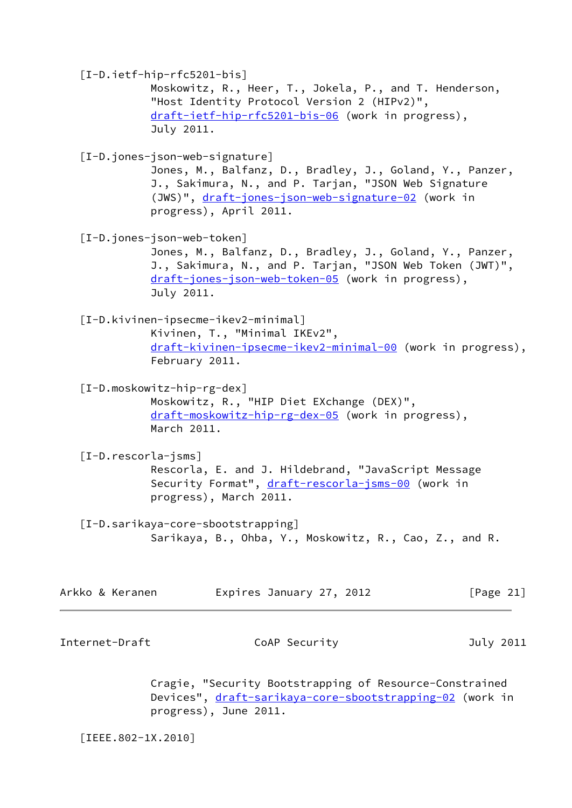<span id="page-23-6"></span><span id="page-23-5"></span><span id="page-23-2"></span><span id="page-23-1"></span>

|                        | $[I-D.ietf-hip-rfc5201-bis]$<br>Moskowitz, R., Heer, T., Jokela, P., and T. Henderson,<br>"Host Identity Protocol Version 2 (HIPv2)",<br>draft-ietf-hip-rfc5201-bis-06 (work in progress),<br>July 2011.                           |  |
|------------------------|------------------------------------------------------------------------------------------------------------------------------------------------------------------------------------------------------------------------------------|--|
|                        | [I-D.jones-json-web-signature]<br>Jones, M., Balfanz, D., Bradley, J., Goland, Y., Panzer,<br>J., Sakimura, N., and P. Tarjan, "JSON Web Signature<br>(JWS)", draft-jones-json-web-signature-02 (work in<br>progress), April 2011. |  |
|                        | [I-D.jones-json-web-token]<br>Jones, M., Balfanz, D., Bradley, J., Goland, Y., Panzer,<br>J., Sakimura, N., and P. Tarjan, "JSON Web Token (JWT)",<br>draft-jones-json-web-token-05 (work in progress),<br>July 2011.              |  |
|                        | [I-D.kivinen-ipsecme-ikev2-minimal]<br>Kivinen, T., "Minimal IKEv2",<br>draft-kivinen-ipsecme-ikev2-minimal-00 (work in progress),<br>February 2011.                                                                               |  |
|                        | $[I-D.moskowitz-hip-rg-dex]$<br>Moskowitz, R., "HIP Diet EXchange (DEX)",<br>draft-moskowitz-hip-rg-dex-05 (work in progress),<br>March 2011.                                                                                      |  |
| $[I-D.$ rescorla-jsms] | Rescorla, E. and J. Hildebrand, "JavaScript Message<br>Security Format", draft-rescorla-jsms-00 (work in<br>progress), March 2011.                                                                                                 |  |
|                        | [I-D.sarikaya-core-sbootstrapping]<br>Sarikaya, B., Ohba, Y., Moskowitz, R., Cao, Z., and R.                                                                                                                                       |  |
| Arkko & Keranen        | Expires January 27, 2012<br>[Page $21$ ]                                                                                                                                                                                           |  |
| Internet-Draft         | CoAP Security<br>July 2011                                                                                                                                                                                                         |  |
|                        | Cragie, "Security Bootstrapping of Resource-Constrained<br>Devices", draft-sarikaya-core-sbootstrapping-02 (work in<br>progress), June 2011.                                                                                       |  |

<span id="page-23-4"></span><span id="page-23-3"></span><span id="page-23-0"></span>[IEEE.802-1X.2010]